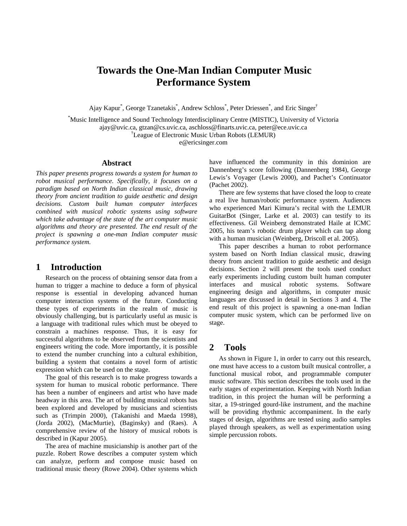# **Towards the One-Man Indian Computer Music Performance System**

Ajay Kapur<sup>\*</sup>, George Tzanetakis<sup>\*</sup>, Andrew Schloss<sup>\*</sup>, Peter Driessen<sup>\*</sup>, and Eric Singer<sup>†</sup>

\* Music Intelligence and Sound Technology Interdisciplinary Centre (MISTIC), University of Victoria ajay@uvic.ca, gtzan@cs.uvic.ca, aschloss@finarts.uvic.ca, peter@ece.uvic.ca † League of Electronic Music Urban Robots (LEMUR)

e@ericsinger.com

#### **Abstract**

*This paper presents progress towards a system for human to robot musical performance. Specifically, it focuses on a paradigm based on North Indian classical music, drawing theory from ancient tradition to guide aesthetic and design decisions. Custom built human computer interfaces combined with musical robotic systems using software which take advantage of the state of the art computer music algorithms and theory are presented. The end result of the project is spawning a one-man Indian computer music performance system.* 

## **1 Introduction**

Research on the process of obtaining sensor data from a human to trigger a machine to deduce a form of physical response is essential in developing advanced human computer interaction systems of the future. Conducting these types of experiments in the realm of music is obviously challenging, but is particularly useful as music is a language with traditional rules which must be obeyed to constrain a machines response. Thus, it is easy for successful algorithms to be observed from the scientists and engineers writing the code. More importantly, it is possible to extend the number crunching into a cultural exhibition, building a system that contains a novel form of artistic expression which can be used on the stage.

The goal of this research is to make progress towards a system for human to musical robotic performance. There has been a number of engineers and artist who have made headway in this area. The art of building musical robots has been explored and developed by musicians and scientists such as (Trimpin 2000), (Takanishi and Maeda 1998), (Jorda 2002), (MacMurtie), (Baginsky) and (Raes). A comprehensive review of the history of musical robots is described in (Kapur 2005).

The area of machine musicianship is another part of the puzzle. Robert Rowe describes a computer system which can analyze, perform and compose music based on traditional music theory (Rowe 2004). Other systems which have influenced the community in this dominion are Dannenberg's score following (Dannenberg 1984), George Lewis's Voyager (Lewis 2000), and Pachet's Continuator (Pachet 2002).

There are few systems that have closed the loop to create a real live human/robotic performance system. Audiences who experienced Mari Kimura's recital with the LEMUR GuitarBot (Singer, Larke et al. 2003) can testify to its effectiveness. Gil Weinberg demonstrated Haile at ICMC 2005, his team's robotic drum player which can tap along with a human musician (Weinberg, Driscoll et al. 2005).

This paper describes a human to robot performance system based on North Indian classical music, drawing theory from ancient tradition to guide aesthetic and design decisions. Section 2 will present the tools used conduct early experiments including custom built human computer interfaces and musical robotic systems. Software engineering design and algorithms, in computer music languages are discussed in detail in Sections 3 and 4. The end result of this project is spawning a one-man Indian computer music system, which can be performed live on stage.

## **2 Tools**

As shown in [Figure 1,](#page-1-0) in order to carry out this research, one must have access to a custom built musical controller, a functional musical robot, and programmable computer music software. This section describes the tools used in the early stages of experimentation. Keeping with North Indian tradition, in this project the human will be performing a sitar, a 19-stringed gourd-like instrument, and the machine will be providing rhythmic accompaniment. In the early stages of design, algorithms are tested using audio samples played through speakers, as well as experimentation using simple percussion robots.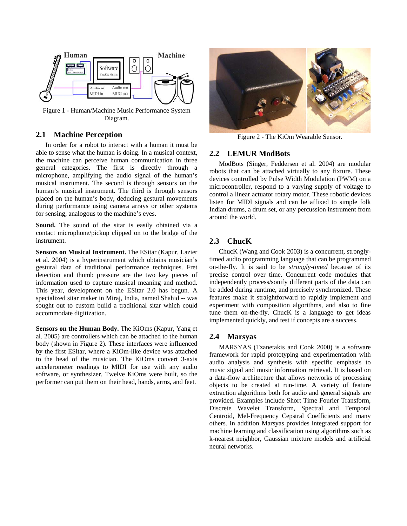<span id="page-1-0"></span>

Figure 1 - Human/Machine Music Performance System Diagram.

## **2.1 Machine Perception**

In order for a robot to interact with a human it must be able to sense what the human is doing. In a musical context, the machine can perceive human communication in three general categories. The first is directly through a microphone, amplifying the audio signal of the human's musical instrument. The second is through sensors on the human's musical instrument. The third is through sensors placed on the human's body, deducing gestural movements during performance using camera arrays or other systems for sensing, analogous to the machine's eyes.

**Sound.** The sound of the sitar is easily obtained via a contact microphone/pickup clipped on to the bridge of the instrument.

**Sensors on Musical Instrument.** The ESitar (Kapur, Lazier et al. 2004) is a hyperinstrument which obtains musician's gestural data of traditional performance techniques. Fret detection and thumb pressure are the two key pieces of information used to capture musical meaning and method. This year, development on the ESitar 2.0 has begun. A specialized sitar maker in Miraj, India, named Shahid -- was sought out to custom build a traditional sitar which could accommodate digitization.

**Sensors on the Human Body.** The KiOms (Kapur, Yang et al. 2005) are controllers which can be attached to the human body (shown in [Figure 2\)](#page-1-1). These interfaces were influenced by the first ESitar, where a KiOm-like device was attached to the head of the musician. The KiOms convert 3-axis accelerometer readings to MIDI for use with any audio software, or synthesizer. Twelve KiOms were built, so the performer can put them on their head, hands, arms, and feet.

<span id="page-1-1"></span>

Figure 2 - The KiOm Wearable Sensor.

#### **2.2 LEMUR ModBots**

ModBots (Singer, Feddersen et al. 2004) are modular robots that can be attached virtually to any fixture. These devices controlled by Pulse Width Modulation (PWM) on a microcontroller, respond to a varying supply of voltage to control a linear actuator rotary motor. These robotic devices listen for MIDI signals and can be affixed to simple folk Indian drums, a drum set, or any percussion instrument from around the world.

## **2.3 ChucK**

ChucK (Wang and Cook 2003) is a concurrent, stronglytimed audio programming language that can be programmed on-the-fly. It is said to be *strongly-timed* because of its precise control over time. Concurrent code modules that independently process/sonify different parts of the data can be added during runtime, and precisely synchronized. These features make it straightforward to rapidly implement and experiment with composition algorithms, and also to fine tune them on-the-fly. ChucK is a language to get ideas implemented quickly, and test if concepts are a success.

#### **2.4 Marsyas**

MARSYAS (Tzanetakis and Cook 2000) is a software framework for rapid prototyping and experimentation with audio analysis and synthesis with specific emphasis to music signal and music information retrieval. It is based on a data-flow architecture that allows networks of processing objects to be created at run-time. A variety of feature extraction algorithms both for audio and general signals are provided. Examples include Short Time Fourier Transform, Discrete Wavelet Transform, Spectral and Temporal Centroid, Mel-Frequency Cepstral Coefficients and many others. In addition Marsyas provides integrated support for machine learning and classification using algorithms such as k-nearest neighbor, Gaussian mixture models and artificial neural networks.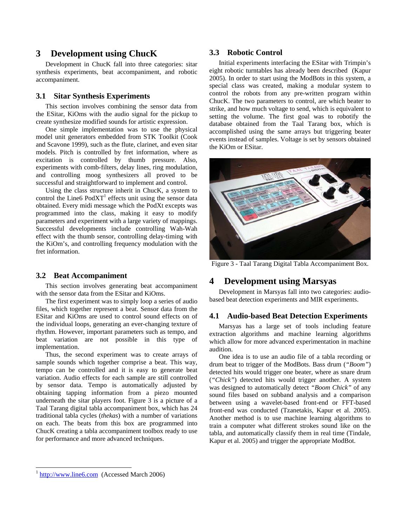## **3 Development using ChucK**

Development in ChucK fall into three categories: sitar synthesis experiments, beat accompaniment, and robotic accompaniment.

#### **3.1 Sitar Synthesis Experiments**

This section involves combining the sensor data from the ESitar, KiOms with the audio signal for the pickup to create synthesize modified sounds for artistic expression.

One simple implementation was to use the physical model unit generators embedded from STK Toolkit (Cook and Scavone 1999), such as the flute, clarinet, and even sitar models. Pitch is controlled by fret information, where as excitation is controlled by thumb pressure. Also, experiments with comb-filters, delay lines, ring modulation, and controlling moog synthesizers all proved to be successful and straightforward to implement and control.

Using the class structure inherit in ChucK, a system to control the Line6  $PodXT<sup>1</sup>$  effects unit using the sensor data obtained. Every midi message which the PodXt excepts was programmed into the class, making it easy to modify parameters and experiment with a large variety of mappings. Successful developments include controlling Wah-Wah effect with the thumb sensor, controlling delay-timing with the KiOm's, and controlling frequency modulation with the fret information.

#### **3.2 Beat Accompaniment**

This section involves generating beat accompaniment with the sensor data from the ESitar and KiOms.

The first experiment was to simply loop a series of audio files, which together represent a beat. Sensor data from the ESitar and KiOms are used to control sound effects on of the individual loops, generating an ever-changing texture of rhythm. However, important parameters such as tempo, and beat variation are not possible in this type of implementation.

Thus, the second experiment was to create arrays of sample sounds which together comprise a beat. This way, tempo can be controlled and it is easy to generate beat variation. Audio effects for each sample are still controlled by sensor data. Tempo is automatically adjusted by obtaining tapping information from a piezo mounted underneath the sitar players foot. Figure 3 is a picture of a Taal Tarang digital tabla accompaniment box, which has 24 traditional tabla cycles (*thekas*) with a number of variations on each. The beats from this box are programmed into ChucK creating a tabla accompaniment toolbox ready to use for performance and more advanced techniques.

## **3.3 Robotic Control**

Initial experiments interfacing the ESitar with Trimpin's eight robotic turntables has already been described (Kapur 2005). In order to start using the ModBots in this system, a special class was created, making a modular system to control the robots from any pre-written program within ChucK. The two parameters to control, are which beater to strike, and how much voltage to send, which is equivalent to setting the volume. The first goal was to robotify the database obtained from the Taal Tarang box, which is accomplished using the same arrays but triggering beater events instead of samples. Voltage is set by sensors obtained the KiOm or ESitar.



Figure 3 - Taal Tarang Digital Tabla Accompaniment Box.

## **4 Development using Marsyas**

Development in Marsyas fall into two categories: audiobased beat detection experiments and MIR experiments.

## **4.1 Audio-based Beat Detection Experiments**

Marsyas has a large set of tools including feature extraction algorithms and machine learning algorithms which allow for more advanced experimentation in machine audition.

One idea is to use an audio file of a tabla recording or drum beat to trigger of the ModBots. Bass drum (*"Boom"*) detected hits would trigger one beater, where as snare drum (*"Chick"*) detected hits would trigger another. A system was designed to automatically detect *"Boom Chick"* of any sound files based on subband analysis and a comparison between using a wavelet-based front-end or FFT-based front-end was conducted (Tzanetakis, Kapur et al. 2005). Another method is to use machine learning algorithms to train a computer what different strokes sound like on the tabla, and automatically classify them in real time (Tindale, Kapur et al. 2005) and trigger the appropriate ModBot.

<span id="page-2-0"></span>[http://www.line6.com](http://www.line6.com/) (Accessed March 2006)